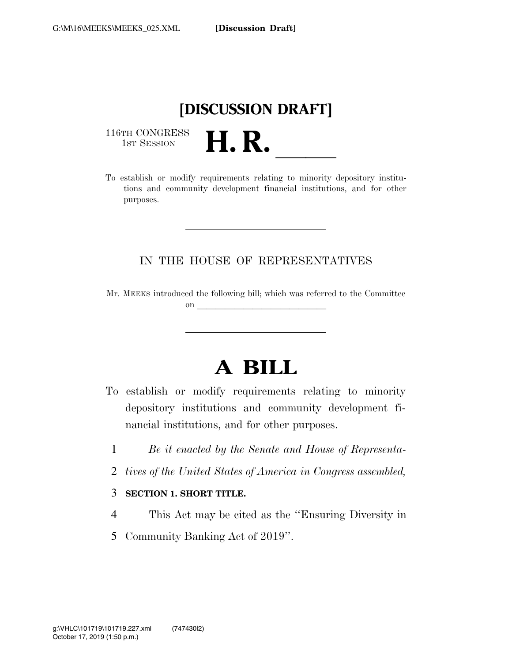## **[DISCUSSION DRAFT]**

116TH CONGRESS<br>1st Session

116TH CONGRESS<br>
1ST SESSION<br>
To establish or modify requirements relating to minority depository institutions and community development financial institutions, and for other purposes.

### IN THE HOUSE OF REPRESENTATIVES

Mr. MEEKS introduced the following bill; which was referred to the Committee on  $\overline{\qquad \qquad }$ 

# **A BILL**

- To establish or modify requirements relating to minority depository institutions and community development financial institutions, and for other purposes.
	- 1 *Be it enacted by the Senate and House of Representa-*
	- 2 *tives of the United States of America in Congress assembled,*
	- 3 **SECTION 1. SHORT TITLE.**
	- 4 This Act may be cited as the ''Ensuring Diversity in
	- 5 Community Banking Act of 2019''.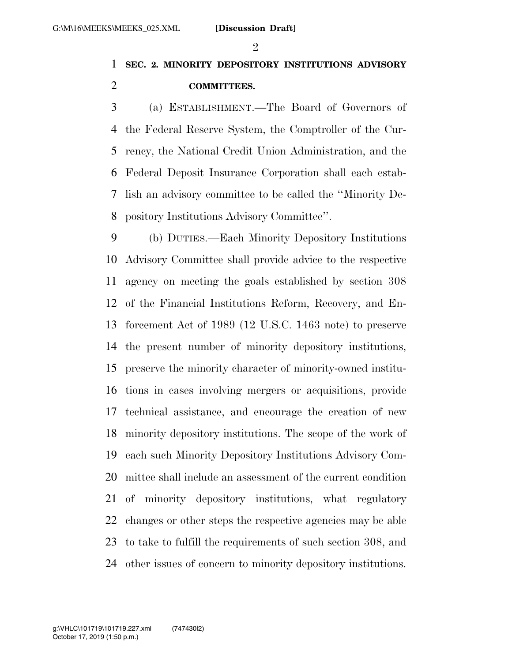### $\mathfrak{D}$

### **SEC. 2. MINORITY DEPOSITORY INSTITUTIONS ADVISORY COMMITTEES.**

 (a) ESTABLISHMENT.—The Board of Governors of the Federal Reserve System, the Comptroller of the Cur- rency, the National Credit Union Administration, and the Federal Deposit Insurance Corporation shall each estab- lish an advisory committee to be called the ''Minority De-pository Institutions Advisory Committee''.

 (b) DUTIES.—Each Minority Depository Institutions Advisory Committee shall provide advice to the respective agency on meeting the goals established by section 308 of the Financial Institutions Reform, Recovery, and En- forcement Act of 1989 (12 U.S.C. 1463 note) to preserve the present number of minority depository institutions, preserve the minority character of minority-owned institu- tions in cases involving mergers or acquisitions, provide technical assistance, and encourage the creation of new minority depository institutions. The scope of the work of each such Minority Depository Institutions Advisory Com- mittee shall include an assessment of the current condition of minority depository institutions, what regulatory changes or other steps the respective agencies may be able to take to fulfill the requirements of such section 308, and other issues of concern to minority depository institutions.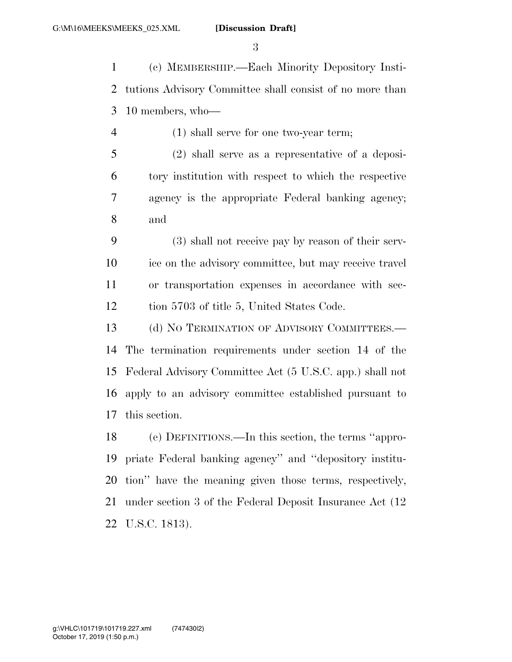(c) MEMBERSHIP.—Each Minority Depository Insti- tutions Advisory Committee shall consist of no more than 10 members, who—

(1) shall serve for one two-year term;

 (2) shall serve as a representative of a deposi- tory institution with respect to which the respective agency is the appropriate Federal banking agency; and

 (3) shall not receive pay by reason of their serv- ice on the advisory committee, but may receive travel or transportation expenses in accordance with sec-12 tion 5703 of title 5, United States Code.

13 (d) NO TERMINATION OF ADVISORY COMMITTEES.— The termination requirements under section 14 of the Federal Advisory Committee Act (5 U.S.C. app.) shall not apply to an advisory committee established pursuant to this section.

 (e) DEFINITIONS.—In this section, the terms ''appro- priate Federal banking agency'' and ''depository institu- tion'' have the meaning given those terms, respectively, under section 3 of the Federal Deposit Insurance Act (12 U.S.C. 1813).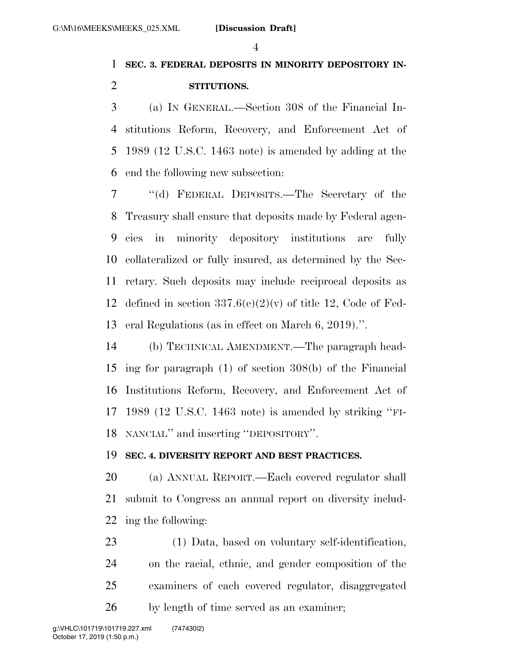### **SEC. 3. FEDERAL DEPOSITS IN MINORITY DEPOSITORY IN-STITUTIONS.**

 (a) IN GENERAL.—Section 308 of the Financial In- stitutions Reform, Recovery, and Enforcement Act of 1989 (12 U.S.C. 1463 note) is amended by adding at the end the following new subsection:

 ''(d) FEDERAL DEPOSITS.—The Secretary of the Treasury shall ensure that deposits made by Federal agen- cies in minority depository institutions are fully collateralized or fully insured, as determined by the Sec- retary. Such deposits may include reciprocal deposits as 12 defined in section  $337.6(e)(2)(v)$  of title 12, Code of Fed-eral Regulations (as in effect on March 6, 2019).''.

 (b) TECHNICAL AMENDMENT.—The paragraph head- ing for paragraph (1) of section 308(b) of the Financial Institutions Reform, Recovery, and Enforcement Act of 1989 (12 U.S.C. 1463 note) is amended by striking ''FI-NANCIAL'' and inserting ''DEPOSITORY''.

### **SEC. 4. DIVERSITY REPORT AND BEST PRACTICES.**

 (a) ANNUAL REPORT.—Each covered regulator shall submit to Congress an annual report on diversity includ-ing the following:

 (1) Data, based on voluntary self-identification, on the racial, ethnic, and gender composition of the examiners of each covered regulator, disaggregated by length of time served as an examiner;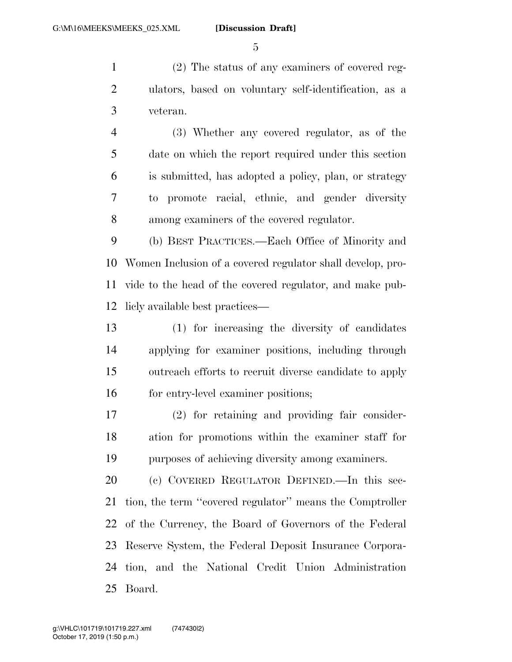(2) The status of any examiners of covered reg- ulators, based on voluntary self-identification, as a veteran.

 (3) Whether any covered regulator, as of the date on which the report required under this section is submitted, has adopted a policy, plan, or strategy to promote racial, ethnic, and gender diversity among examiners of the covered regulator.

 (b) BEST PRACTICES.—Each Office of Minority and Women Inclusion of a covered regulator shall develop, pro- vide to the head of the covered regulator, and make pub-licly available best practices—

 (1) for increasing the diversity of candidates applying for examiner positions, including through outreach efforts to recruit diverse candidate to apply 16 for entry-level examiner positions;

 (2) for retaining and providing fair consider- ation for promotions within the examiner staff for purposes of achieving diversity among examiners.

 (c) COVERED REGULATOR DEFINED.—In this sec- tion, the term ''covered regulator'' means the Comptroller of the Currency, the Board of Governors of the Federal Reserve System, the Federal Deposit Insurance Corpora- tion, and the National Credit Union Administration Board.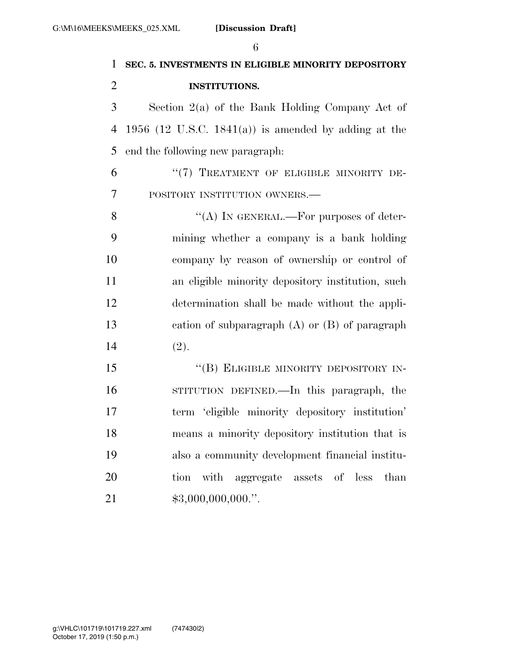|                | 6                                                      |
|----------------|--------------------------------------------------------|
| $\mathbf{1}$   | SEC. 5. INVESTMENTS IN ELIGIBLE MINORITY DEPOSITORY    |
| $\overline{2}$ | <b>INSTITUTIONS.</b>                                   |
| 3              | Section $2(a)$ of the Bank Holding Company Act of      |
| 4              | 1956 (12 U.S.C. 1841(a)) is amended by adding at the   |
| 5              | end the following new paragraph:                       |
| 6              | "(7) TREATMENT OF ELIGIBLE MINORITY DE-                |
| $\overline{7}$ | POSITORY INSTITUTION OWNERS.-                          |
| 8              | "(A) IN GENERAL.—For purposes of deter-                |
| 9              | mining whether a company is a bank holding             |
| 10             | company by reason of ownership or control of           |
| 11             | an eligible minority depository institution, such      |
| 12             | determination shall be made without the appli-         |
| 13             | cation of subparagraph $(A)$ or $(B)$ of paragraph     |
| 14             | (2).                                                   |
| 15             | "(B) ELIGIBLE MINORITY DEPOSITORY IN-                  |
| 16             | STITUTION DEFINED.—In this paragraph, the              |
| 17             | term 'eligible minority depository institution'        |
| 18             | means a minority depository institution that is        |
| 19             | also a community development financial institu-        |
| 20             | with aggregate<br>tion<br>assets<br>of<br>less<br>than |

\$3,000,000,000.''.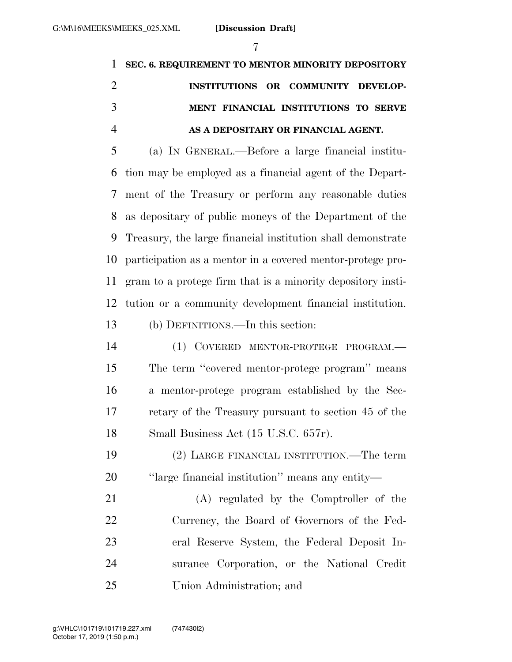| 7                                                                       |
|-------------------------------------------------------------------------|
| SEC. 6. REQUIREMENT TO MENTOR MINORITY DEPOSITORY                       |
| INSTITUTIONS OR COMMUNITY DEVELOP-                                      |
| MENT FINANCIAL INSTITUTIONS TO SERVE                                    |
| AS A DEPOSITARY OR FINANCIAL AGENT.                                     |
| (a) IN GENERAL.—Before a large financial institu-                       |
| tion may be employed as a financial agent of the Depart-                |
| ment of the Treasury or perform any reasonable duties<br>7 <sup>7</sup> |
| as depositary of public moneys of the Department of the                 |
| 9 Treasury, the large financial institution shall demonstrate           |
| 10 participation as a mentor in a covered mentor-protege pro-           |
| gram to a protege firm that is a minority depository insti-             |
| tution or a community development financial institution.<br>12          |
|                                                                         |

### (b) DEFINITIONS.—In this section:

 (1) COVERED MENTOR-PROTEGE PROGRAM.— The term ''covered mentor-protege program'' means a mentor-protege program established by the Sec- retary of the Treasury pursuant to section 45 of the 18 Small Business Act (15 U.S.C. 657r).

- (2) LARGE FINANCIAL INSTITUTION.—The term ''large financial institution'' means any entity—
- (A) regulated by the Comptroller of the Currency, the Board of Governors of the Fed- eral Reserve System, the Federal Deposit In- surance Corporation, or the National Credit Union Administration; and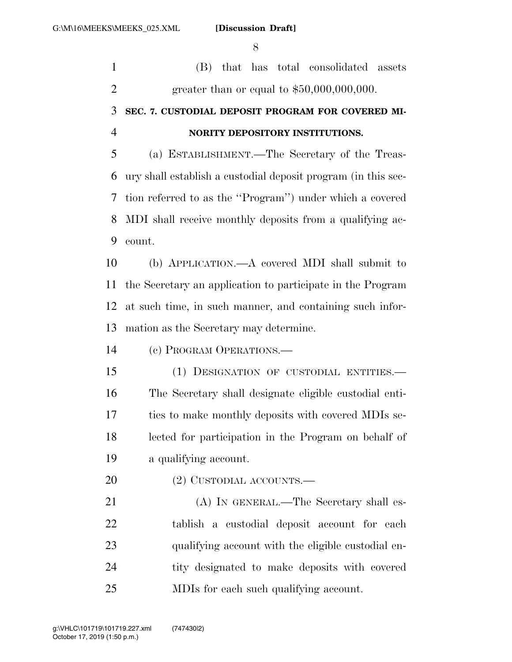(B) that has total consolidated assets greater than or equal to \$50,000,000,000.

### **SEC. 7. CUSTODIAL DEPOSIT PROGRAM FOR COVERED MI-NORITY DEPOSITORY INSTITUTIONS.**

 (a) ESTABLISHMENT.—The Secretary of the Treas- ury shall establish a custodial deposit program (in this sec- tion referred to as the ''Program'') under which a covered MDI shall receive monthly deposits from a qualifying ac-count.

 (b) APPLICATION.—A covered MDI shall submit to the Secretary an application to participate in the Program at such time, in such manner, and containing such infor-mation as the Secretary may determine.

(c) PROGRAM OPERATIONS.—

 (1) DESIGNATION OF CUSTODIAL ENTITIES.— The Secretary shall designate eligible custodial enti- ties to make monthly deposits with covered MDIs se- lected for participation in the Program on behalf of a qualifying account.

20 (2) CUSTODIAL ACCOUNTS.—

21 (A) IN GENERAL.—The Secretary shall es- tablish a custodial deposit account for each qualifying account with the eligible custodial en- tity designated to make deposits with covered MDIs for each such qualifying account.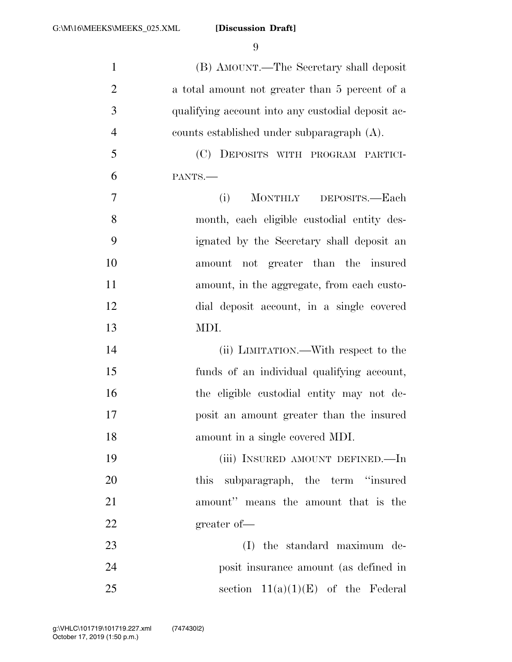| $\mathbf{1}$             | (B) AMOUNT.—The Secretary shall deposit           |
|--------------------------|---------------------------------------------------|
| $\overline{c}$           | a total amount not greater than 5 percent of a    |
| 3                        | qualifying account into any custodial deposit ac- |
| $\overline{\mathcal{A}}$ | counts established under subparagraph (A).        |
| $\mathfrak{S}$           | (C) DEPOSITS WITH PROGRAM PARTICI-                |
| 6                        | PANTS.-                                           |
| $\tau$                   | (i)<br>MONTHLY DEPOSITS.-Each                     |
| 8                        | month, each eligible custodial entity des-        |
| 9                        | ignated by the Secretary shall deposit an         |
| 10                       | amount not greater than the insured               |
| 11                       | amount, in the aggregate, from each custo-        |
| 12                       | dial deposit account, in a single covered         |
| 13                       | MDI.                                              |
| 14                       | (ii) LIMITATION.—With respect to the              |
| 15                       | funds of an individual qualifying account,        |
| 16                       | the eligible custodial entity may not de-         |
| 17                       | posit an amount greater than the insured          |
| 18                       | amount in a single covered MDI.                   |
| 19                       | (iii) INSURED AMOUNT DEFINED.—In                  |
| 20                       | this subparagraph, the term "insured              |
| 21                       | amount" means the amount that is the              |
| 22                       | greater of-                                       |
| 23                       | (I) the standard maximum de-                      |
| 24                       | posit insurance amount (as defined in             |
| 25                       | section $11(a)(1)(E)$ of the Federal              |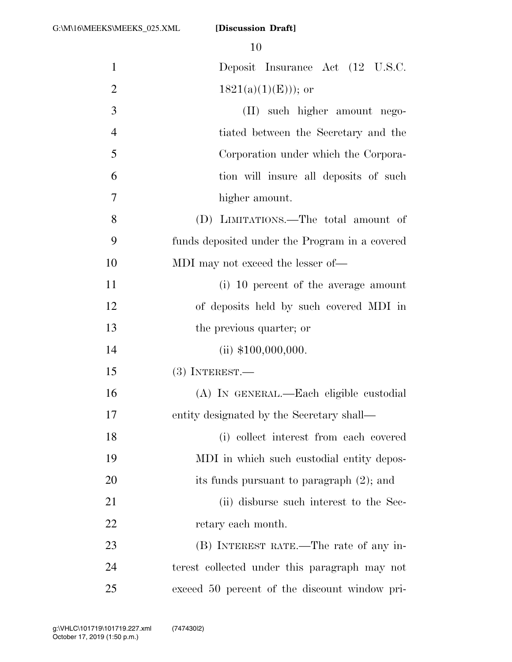| $\mathbf{1}$   | Deposit Insurance Act (12 U.S.C.               |
|----------------|------------------------------------------------|
| $\overline{2}$ | $1821(a)(1)(E))$ ; or                          |
| 3              | (II) such higher amount nego-                  |
| $\overline{4}$ | tiated between the Secretary and the           |
| 5              | Corporation under which the Corpora-           |
| 6              | tion will insure all deposits of such          |
| 7              | higher amount.                                 |
| 8              | (D) LIMITATIONS.—The total amount of           |
| 9              | funds deposited under the Program in a covered |
| 10             | MDI may not exceed the lesser of—              |
| 11             | (i) 10 percent of the average amount           |
| 12             | of deposits held by such covered MDI in        |
| 13             | the previous quarter; or                       |
| 14             | (ii) $$100,000,000$ .                          |
| 15             | $(3)$ INTEREST.—                               |
| 16             | (A) IN GENERAL.—Each eligible custodial        |
| 17             | entity designated by the Secretary shall—      |
| 18             | (i) collect interest from each covered         |
| 19             | MDI in which such custodial entity depos-      |
| 20             | its funds pursuant to paragraph (2); and       |
| 21             | (ii) disburse such interest to the Sec-        |
| 22             | retary each month.                             |
| 23             | (B) INTEREST RATE.—The rate of any in-         |
| 24             | terest collected under this paragraph may not  |
| 25             | exceed 50 percent of the discount window pri-  |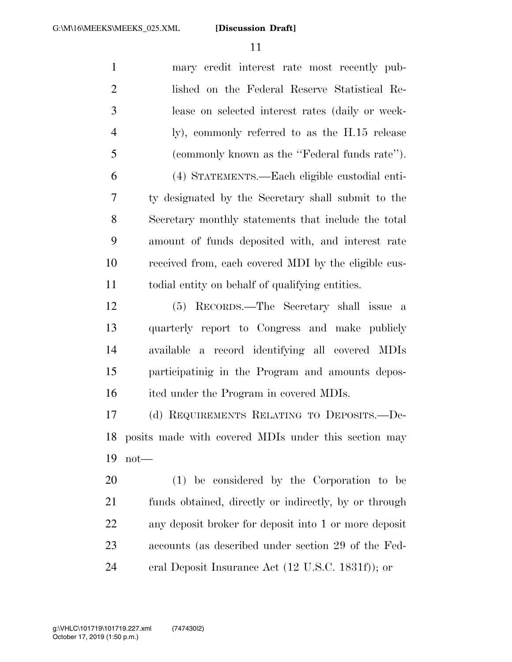| $\mathbf{1}$   | mary credit interest rate most recently pub-          |
|----------------|-------------------------------------------------------|
| $\overline{2}$ | lished on the Federal Reserve Statistical Re-         |
| 3              | lease on selected interest rates (daily or week-      |
| $\overline{4}$ | ly), commonly referred to as the H.15 release         |
| 5              | (commonly known as the "Federal funds rate").         |
| 6              | (4) STATEMENTS.—Each eligible custodial enti-         |
| 7              | ty designated by the Secretary shall submit to the    |
| 8              | Secretary monthly statements that include the total   |
| 9              | amount of funds deposited with, and interest rate     |
| 10             | received from, each covered MDI by the eligible cus-  |
| 11             | todial entity on behalf of qualifying entities.       |
| 12             | RECORDS.—The Secretary shall issue a<br>(5)           |
| 13             | quarterly report to Congress and make publicly        |
| 14             | available a record identifying all covered MDIs       |
| 15             | participatinig in the Program and amounts depos-      |
| 16             | ited under the Program in covered MDIs.               |
| 17             | (d) REQUIREMENTS RELATING TO DEPOSITS.-De-            |
| 18             | posits made with covered MDIs under this section may  |
| 19             | $not$ —                                               |
| 20             | (1) be considered by the Corporation to be            |
| 21             | funds obtained, directly or indirectly, by or through |
| 22             | any deposit broker for deposit into 1 or more deposit |
| 23             | accounts (as described under section 29 of the Fed-   |
|                |                                                       |

eral Deposit Insurance Act (12 U.S.C. 1831f)); or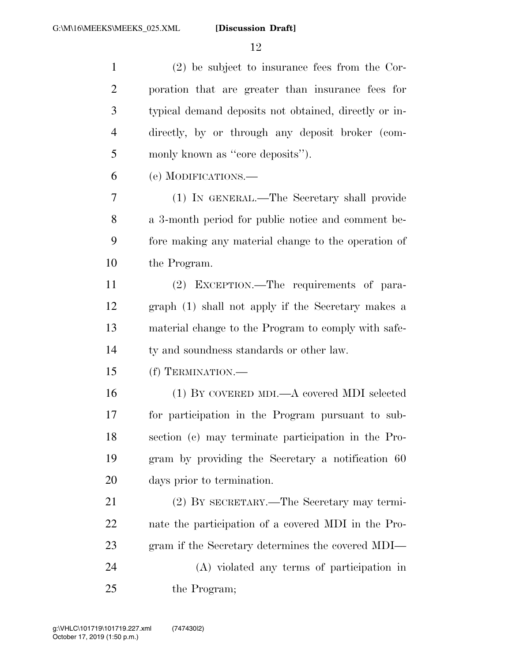(2) be subject to insurance fees from the Cor- poration that are greater than insurance fees for typical demand deposits not obtained, directly or in- directly, by or through any deposit broker (com- monly known as ''core deposits''). (e) MODIFICATIONS.— (1) IN GENERAL.—The Secretary shall provide a 3-month period for public notice and comment be- fore making any material change to the operation of the Program. (2) EXCEPTION.—The requirements of para- graph (1) shall not apply if the Secretary makes a material change to the Program to comply with safe- ty and soundness standards or other law. (f) TERMINATION.— (1) BY COVERED MDI.—A covered MDI selected for participation in the Program pursuant to sub- section (c) may terminate participation in the Pro- gram by providing the Secretary a notification 60 days prior to termination. (2) BY SECRETARY.—The Secretary may termi- nate the participation of a covered MDI in the Pro- gram if the Secretary determines the covered MDI— (A) violated any terms of participation in 25 the Program;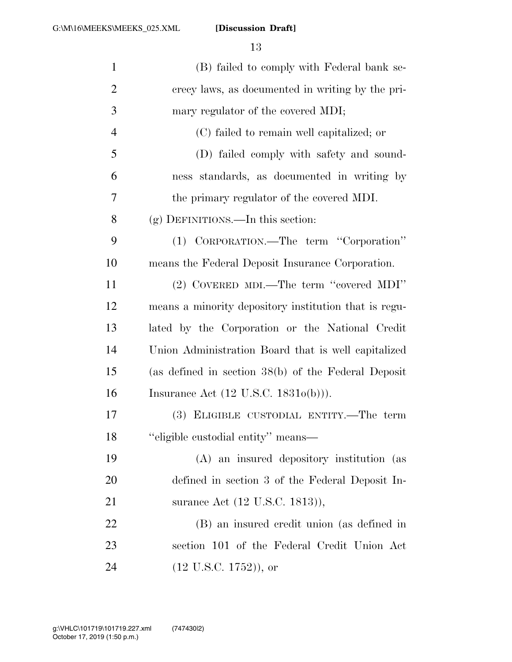| $\mathbf{1}$   | (B) failed to comply with Federal bank se-            |
|----------------|-------------------------------------------------------|
| $\overline{2}$ | crecy laws, as documented in writing by the pri-      |
| 3              | mary regulator of the covered MDI;                    |
| $\overline{4}$ | (C) failed to remain well capitalized; or             |
| 5              | (D) failed comply with safety and sound-              |
| 6              | ness standards, as documented in writing by           |
| 7              | the primary regulator of the covered MDI.             |
| 8              | $(g)$ DEFINITIONS.—In this section:                   |
| 9              | (1) CORPORATION.—The term "Corporation"               |
| 10             | means the Federal Deposit Insurance Corporation.      |
| 11             | (2) COVERED MDI.—The term "covered MDI"               |
| 12             | means a minority depository institution that is regu- |
| 13             | lated by the Corporation or the National Credit       |
| 14             | Union Administration Board that is well capitalized   |
| 15             | (as defined in section $38(b)$ of the Federal Deposit |
| 16             | Insurance Act $(12 \text{ U.S.C. } 1831o(b)))$ .      |
| 17             | (3) ELIGIBLE CUSTODIAL ENTITY.—The term               |
| 18             | "eligible custodial entity" means—                    |
| 19             | (A) an insured depository institution (as             |
| 20             | defined in section 3 of the Federal Deposit In-       |
| 21             | surance Act (12 U.S.C. 1813)),                        |
| 22             | (B) an insured credit union (as defined in            |
| 23             | section 101 of the Federal Credit Union Act           |
| 24             | $(12 \text{ U.S.C. } 1752)$ , or                      |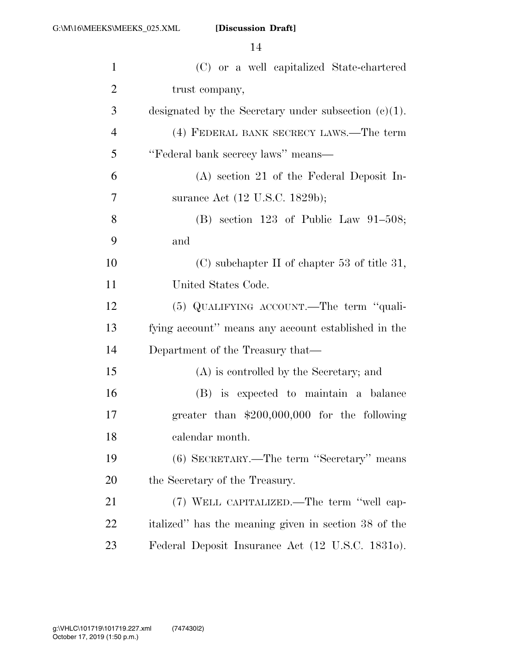| $\mathbf{1}$   | (C) or a well capitalized State-chartered               |
|----------------|---------------------------------------------------------|
| $\overline{2}$ | trust company,                                          |
| 3              | designated by the Secretary under subsection $(e)(1)$ . |
| $\overline{4}$ | (4) FEDERAL BANK SECRECY LAWS.—The term                 |
| 5              | "Federal bank secrecy laws" means-                      |
| 6              | $(A)$ section 21 of the Federal Deposit In-             |
| 7              | surance Act (12 U.S.C. 1829b);                          |
| 8              | (B) section 123 of Public Law 91-508;                   |
| 9              | and                                                     |
| 10             | $(C)$ subchapter II of chapter 53 of title 31,          |
| 11             | United States Code.                                     |
| 12             | (5) QUALIFYING ACCOUNT.—The term "quali-                |
| 13             | fying account" means any account established in the     |
| 14             | Department of the Treasury that—                        |
| 15             | (A) is controlled by the Secretary; and                 |
| 16             | (B) is expected to maintain a balance                   |
| 17             | greater than $$200,000,000$ for the following           |
| 18             | calendar month.                                         |
| 19             | (6) SECRETARY.—The term "Secretary" means               |
| 20             | the Secretary of the Treasury.                          |
| 21             | (7) WELL CAPITALIZED.—The term "well cap-               |
| 22             | italized" has the meaning given in section 38 of the    |
| 23             | Federal Deposit Insurance Act (12 U.S.C. 18310).        |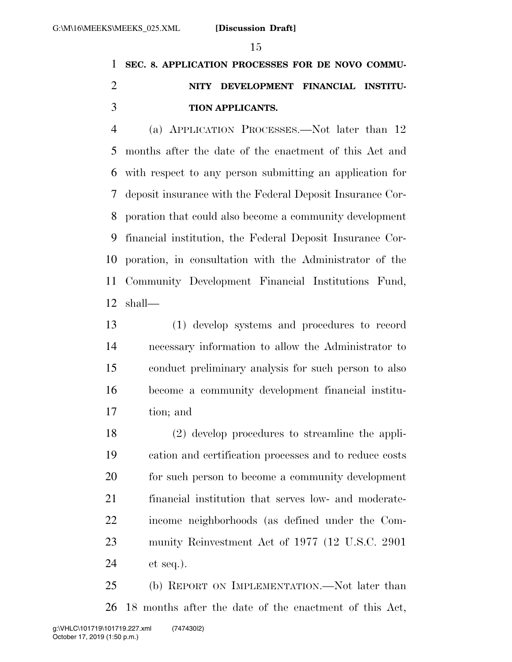## **SEC. 8. APPLICATION PROCESSES FOR DE NOVO COMMU- NITY DEVELOPMENT FINANCIAL INSTITU-TION APPLICANTS.**

 (a) APPLICATION PROCESSES.—Not later than 12 months after the date of the enactment of this Act and with respect to any person submitting an application for deposit insurance with the Federal Deposit Insurance Cor- poration that could also become a community development financial institution, the Federal Deposit Insurance Cor- poration, in consultation with the Administrator of the Community Development Financial Institutions Fund, shall—

 (1) develop systems and procedures to record necessary information to allow the Administrator to conduct preliminary analysis for such person to also become a community development financial institu-tion; and

 (2) develop procedures to streamline the appli- cation and certification processes and to reduce costs for such person to become a community development financial institution that serves low- and moderate- income neighborhoods (as defined under the Com- munity Reinvestment Act of 1977 (12 U.S.C. 2901 et seq.).

 (b) REPORT ON IMPLEMENTATION.—Not later than 18 months after the date of the enactment of this Act,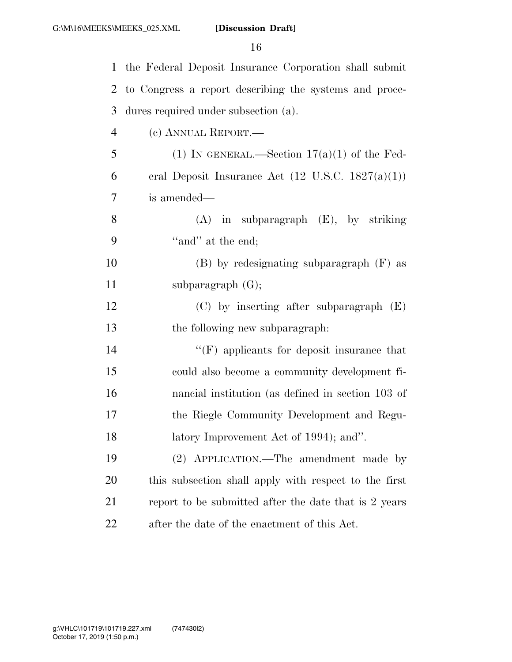| $\mathbf{1}$ | the Federal Deposit Insurance Corporation shall submit       |
|--------------|--------------------------------------------------------------|
| 2            | to Congress a report describing the systems and proce-       |
| 3            | dures required under subsection (a).                         |
| 4            | (c) ANNUAL REPORT.—                                          |
| 5            | (1) IN GENERAL.—Section $17(a)(1)$ of the Fed-               |
| 6            | eral Deposit Insurance Act $(12 \text{ U.S.C. } 1827(a)(1))$ |
| 7            | is amended—                                                  |
| 8            | $(A)$ in subparagraph $(E)$ , by striking                    |
| 9            | "and" at the end;                                            |
| 10           | $(B)$ by redesignating subparagraph $(F)$ as                 |
| 11           | subparagraph $(G)$ ;                                         |
| 12           | $(C)$ by inserting after subparagraph $(E)$                  |
| 13           | the following new subparagraph.                              |
| 14           | $\lq\lq(F)$ applicants for deposit insurance that            |
| 15           | could also become a community development fi-                |
| 16           | nancial institution (as defined in section 103 of            |
| 17           | the Riegle Community Development and Regu-                   |
| 18           | latory Improvement Act of 1994); and".                       |
| 19           | (2) APPLICATION.—The amendment made by                       |
| <b>20</b>    | this subsection shall apply with respect to the first        |
| 21           | report to be submitted after the date that is 2 years        |
| <u>22</u>    | after the date of the enactment of this Act.                 |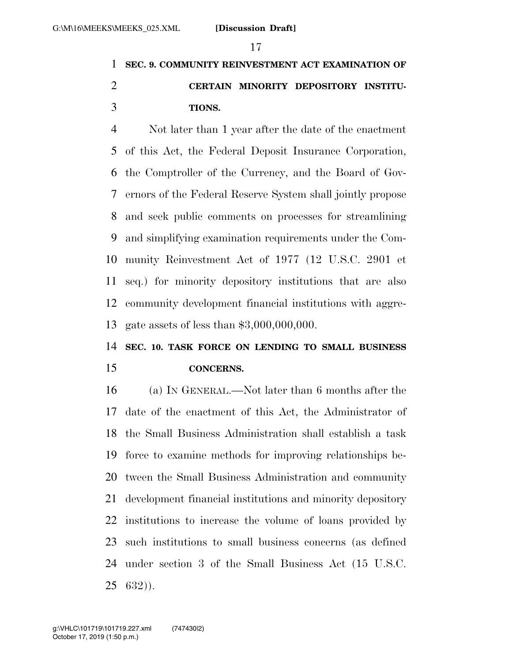## **SEC. 9. COMMUNITY REINVESTMENT ACT EXAMINATION OF CERTAIN MINORITY DEPOSITORY INSTITU-TIONS.**

 Not later than 1 year after the date of the enactment of this Act, the Federal Deposit Insurance Corporation, the Comptroller of the Currency, and the Board of Gov- ernors of the Federal Reserve System shall jointly propose and seek public comments on processes for streamlining and simplifying examination requirements under the Com- munity Reinvestment Act of 1977 (12 U.S.C. 2901 et seq.) for minority depository institutions that are also community development financial institutions with aggre-gate assets of less than \$3,000,000,000.

### **SEC. 10. TASK FORCE ON LENDING TO SMALL BUSINESS CONCERNS.**

 (a) IN GENERAL.—Not later than 6 months after the date of the enactment of this Act, the Administrator of the Small Business Administration shall establish a task force to examine methods for improving relationships be- tween the Small Business Administration and community development financial institutions and minority depository institutions to increase the volume of loans provided by such institutions to small business concerns (as defined under section 3 of the Small Business Act (15 U.S.C. 632)).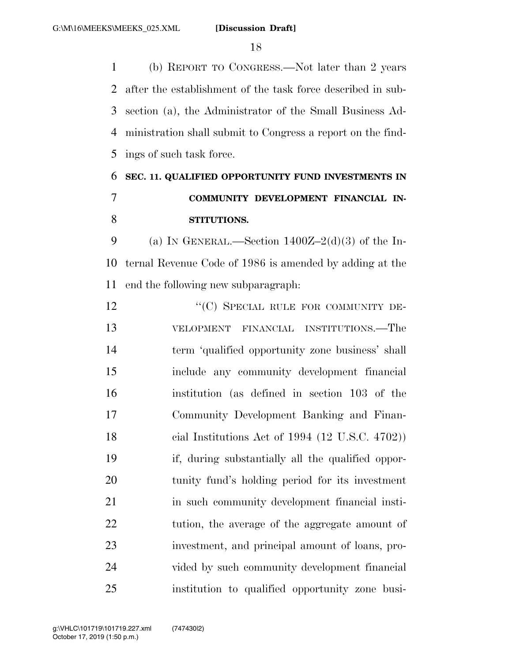(b) REPORT TO CONGRESS.—Not later than 2 years after the establishment of the task force described in sub- section (a), the Administrator of the Small Business Ad- ministration shall submit to Congress a report on the find-ings of such task force.

## **SEC. 11. QUALIFIED OPPORTUNITY FUND INVESTMENTS IN COMMUNITY DEVELOPMENT FINANCIAL IN-STITUTIONS.**

9 (a) IN GENERAL.—Section  $1400Z-2(d)(3)$  of the In- ternal Revenue Code of 1986 is amended by adding at the end the following new subparagraph:

12 ""(C) SPECIAL RULE FOR COMMUNITY DE- VELOPMENT FINANCIAL INSTITUTIONS.—The term 'qualified opportunity zone business' shall include any community development financial institution (as defined in section 103 of the Community Development Banking and Finan- cial Institutions Act of 1994 (12 U.S.C. 4702)) if, during substantially all the qualified oppor- tunity fund's holding period for its investment in such community development financial insti-22 tution, the average of the aggregate amount of investment, and principal amount of loans, pro- vided by such community development financial institution to qualified opportunity zone busi-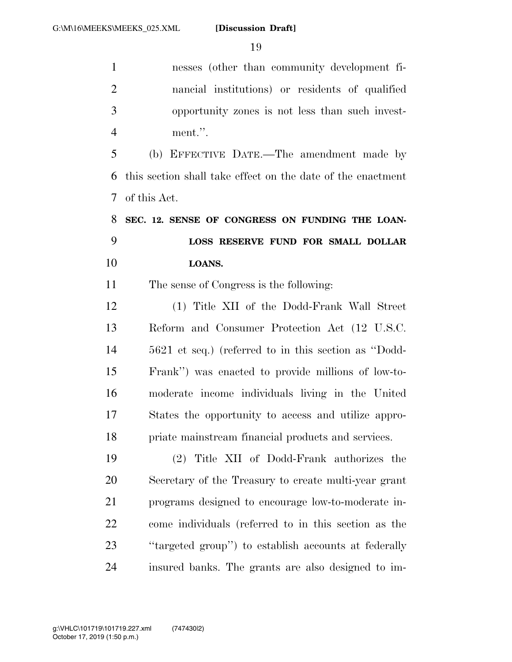nesses (other than community development fi- nancial institutions) or residents of qualified opportunity zones is not less than such invest-ment.''.

 (b) EFFECTIVE DATE.—The amendment made by this section shall take effect on the date of the enactment of this Act.

 **SEC. 12. SENSE OF CONGRESS ON FUNDING THE LOAN- LOSS RESERVE FUND FOR SMALL DOLLAR LOANS.** 

The sense of Congress is the following:

 (1) Title XII of the Dodd-Frank Wall Street Reform and Consumer Protection Act (12 U.S.C. 5621 et seq.) (referred to in this section as ''Dodd- Frank'') was enacted to provide millions of low-to- moderate income individuals living in the United States the opportunity to access and utilize appro-priate mainstream financial products and services.

 (2) Title XII of Dodd-Frank authorizes the Secretary of the Treasury to create multi-year grant programs designed to encourage low-to-moderate in- come individuals (referred to in this section as the ''targeted group'') to establish accounts at federally insured banks. The grants are also designed to im-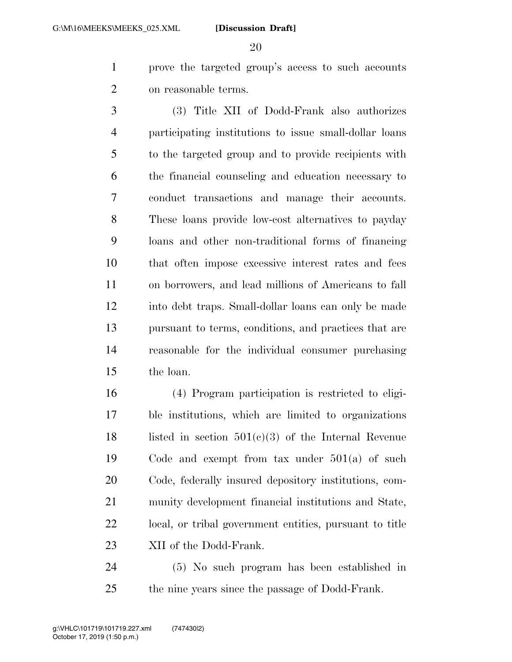prove the targeted group's access to such accounts on reasonable terms.

 (3) Title XII of Dodd-Frank also authorizes participating institutions to issue small-dollar loans to the targeted group and to provide recipients with the financial counseling and education necessary to conduct transactions and manage their accounts. These loans provide low-cost alternatives to payday loans and other non-traditional forms of financing that often impose excessive interest rates and fees on borrowers, and lead millions of Americans to fall into debt traps. Small-dollar loans can only be made pursuant to terms, conditions, and practices that are reasonable for the individual consumer purchasing the loan.

 (4) Program participation is restricted to eligi- ble institutions, which are limited to organizations 18 listed in section  $501(c)(3)$  of the Internal Revenue Code and exempt from tax under 501(a) of such Code, federally insured depository institutions, com- munity development financial institutions and State, local, or tribal government entities, pursuant to title 23 XII of the Dodd-Frank.

 (5) No such program has been established in the nine years since the passage of Dodd-Frank.